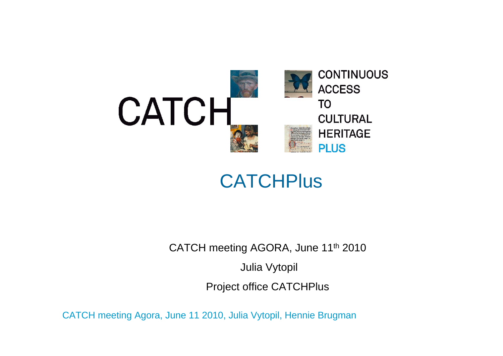

### **CATCHPlus**

CATCH meeting AGORA, June 11<sup>th</sup> 2010

Julia Vytopil

Project office CATCHPlus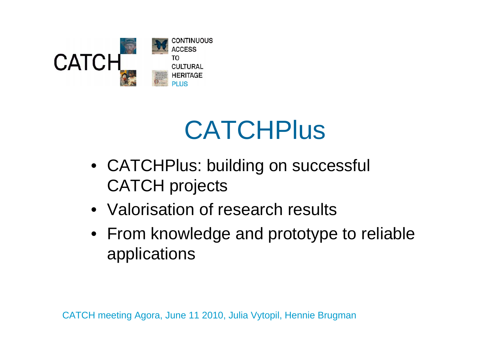

## **CATCHPlus**

- CATCHPlus: building on successful CATCH projects
- Valorisation of research results
- From knowledge and prototype to reliable applications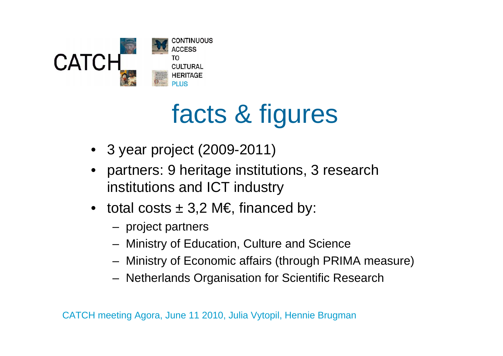

# facts & figures

- 3 year project (2009-2011)
- • partners: 9 heritage institutions, 3 research institutions and ICT industry
- total costs  $\pm$  3,2 M€, financed by:
	- project partners
	- Ministry of Education, Culture and Science
	- Ministry of Economic affairs (through PRIMA measure)
	- Netherlands Organisation for Scientific Research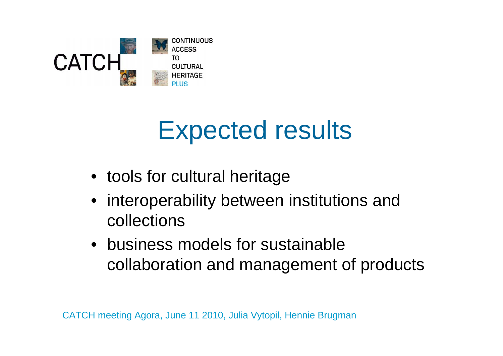

## Expected results

- tools for cultural heritage
- interoperability between institutions and collections
- business models for sustainable collaboration and management of products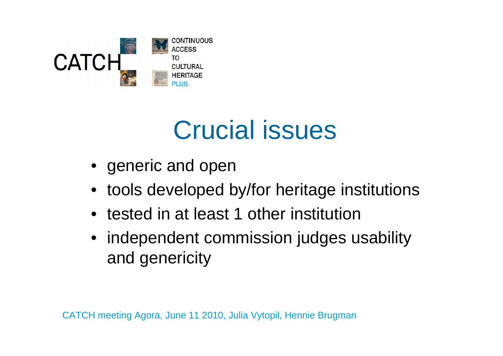

## Crucial issues

- generic and open
- •tools developed by/for heritage institutions
- tested in at least 1 other institution
- independent commission judges usability and genericity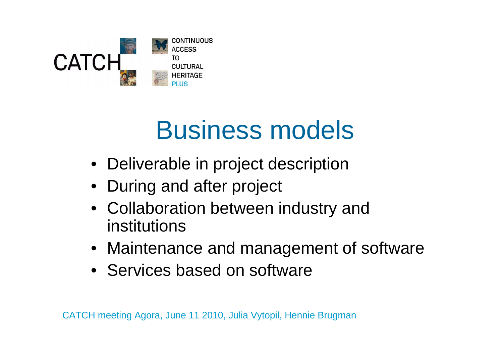

# Business models

- Deliverable in project description
- During and after project
- Collaboration between industry and institutions
- Maintenance and management of software
- Services based on software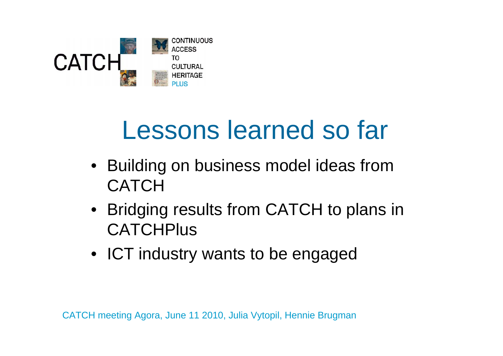

## Lessons learned so far

- Building on business model ideas from **CATCH**
- Bridging results from CATCH to plans in **CATCHPlus**
- ICT industry wants to be engaged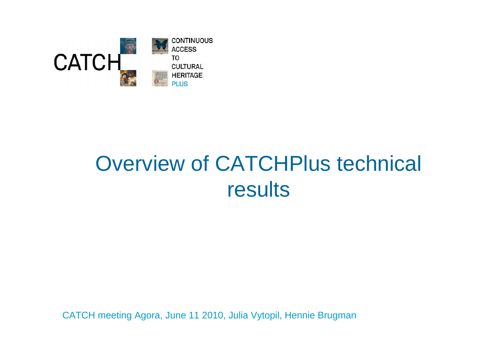

## Overview of CATCHPlus technical results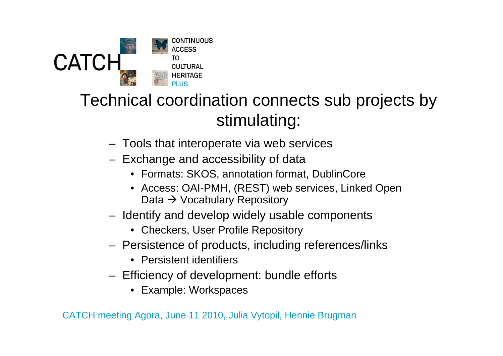

### Technical coordination connects sub projects by stimulating:

- Tools that interoperate via web services
- Exchange and accessibility of data
	- Formats: SKOS, annotation format, DublinCore
	- Access: OAI-PMH, (REST) web services, Linked Open Data → Vocabulary Repository
- Identify and develop widely usable components
	- Checkers, User Profile Repository
- Persistence of products, including references/links
	- Persistent identifiers
- Efficiency of development: bundle efforts
	- Example: Workspaces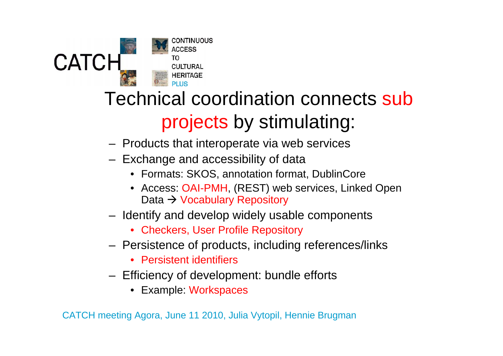

### Technical coordination connects sub projects by stimulating:

- Products that interoperate via web services
- Exchange and accessibility of data
	- Formats: SKOS, annotation format, DublinCore
	- Access: OAI-PMH, (REST) web services, Linked Open Data → Vocabulary Repository
- Identify and develop widely usable components
	- Checkers, User Profile Repository
- Persistence of products, including references/links
	- Persistent identifiers
- Efficiency of development: bundle efforts
	- Example: Workspaces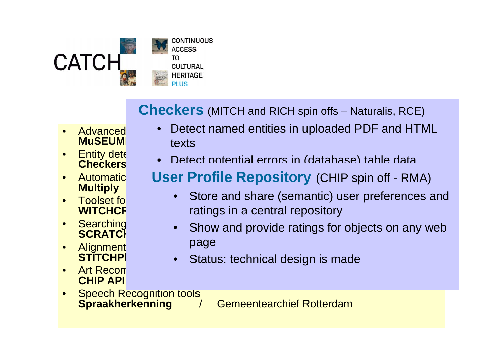

**Checkers** (MITCH and RICH spin offs - Natura **Checkers** (MITCH and RICH spin offs – Naturalis, RCE)

- •**MuSEUM**
- •**Checkers**
- •**Multiply**
- •**Toolset for WITCHCF**
- •
- $\bullet$ **Alignment STITCHPI**
- •Art Recom **CHIP API**
- Advanced Detect named entities in uploaded PDF and HTML / Gemeentemuseum Den Haag •texts
- Entity detection of the Detection of the contract of detection of the Detection of the Detection of the Detection of the Detection of the Detection of the Detection of the Detection of the Detection of the Detection of the **S** Petect potential errors in (database) table data  $\bullet$
- Automatic **User Profile Repository** (CHIP spin off RMA)
	- ratings in a central repository • Store and share (semantic) user preferences and •
- Searching in structure of the structure of the structure of the structure of the structure of the structure of the structure of the structure of the structure of the structure of the structure of the structure of the struc **Searching • Show and provide ratings for objects on any web** •page
	- **Externe Status: technical design is made** •
- •Speech Recognition tools<br>Spraakherkenning

**Gemeentearchief Rotterdam**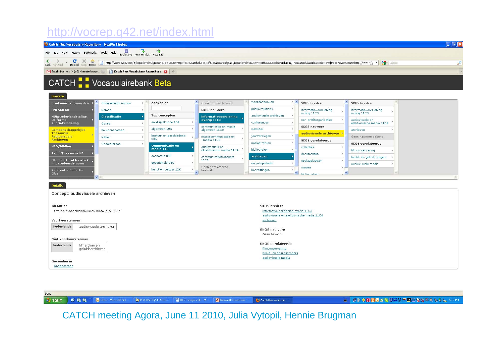#### http://vocrep.q42.net/index.html



Done

**H** start

**BOO** M <sup>>></sup> C Inbox - Microsoft Out... **Pr** DI CHOICE CATCH-d... REST sample calls - Mi...

Microsoft PowerPoint ... Catch Plus Vocabular.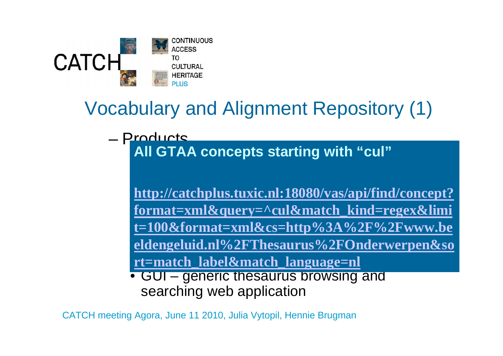

### Vocabulary and Alignment Repository (1)

– Products• 12 SKOS thesauri in one central online store**All GTAA concepts starting with "cul"**

–<u>http://catchplus.tuxic.nl:18080/vas/api/find/concept?</u> –<u>format=xml&query=^cul&match\_kind=regex&limi</u> <u>t=100&format=xml&cs=http%3A%2F%2Fwww.be</u> – For given concept identifier, return concept **eldengeluid.nl%2FThesaurus%2FOnderwerpen&so** rt=match\_label&match\_language=nl

• GUI – generic thesaurus browsing and searching web application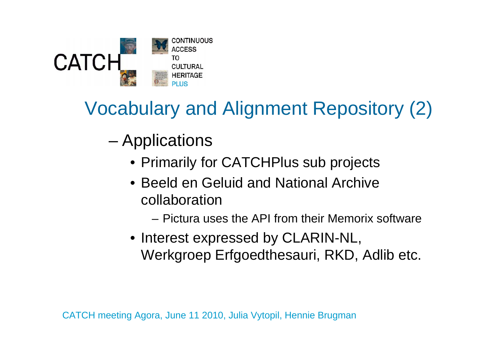

## Vocabulary and Alignment Repository (2)

- – Applications
	- Primarily for CATCHPlus sub projects
	- Beeld en Geluid and National Archive collaboration
		- Pictura uses the API from their Memorix software
	- Interest expressed by CLARIN-NL, Werkgroep Erfgoedthesauri, RKD, Adlib etc.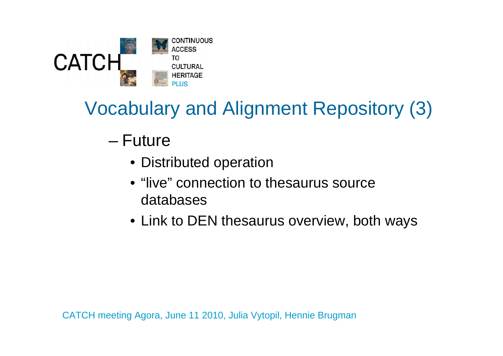

## Vocabulary and Alignment Repository (3)

### – Future

- Distributed operation
- "live" connection to thesaurus source databases
- Link to DEN thesaurus overview, both ways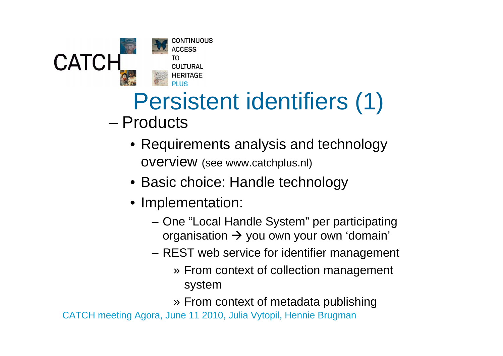

# Persistent identifiers (1)

- Products
	- Requirements analysis and technology overview (see www.catchplus.nl)
	- Basic choice: Handle technology
	- Implementation:
		- One "Local Handle System" per participating organisation  $\rightarrow$  you own your own 'domain'
		- REST web service for identifier management
			- » From context of collection management system
			- » From context of metadata publishing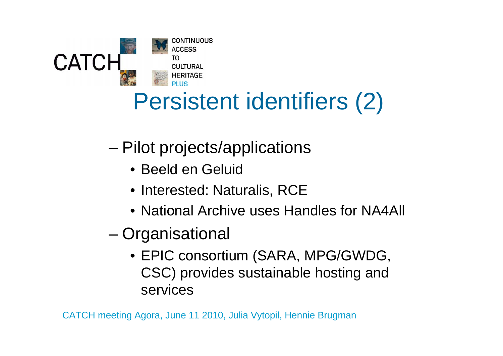

## Persistent identifiers (2)

- – Pilot projects/applications
	- Beeld en Geluid
	- Interested: Naturalis, RCE
	- National Archive uses Handles for NA4All
- **Organisational** 
	- EPIC consortium (SARA, MPG/GWDG, CSC) provides sustainable hosting and services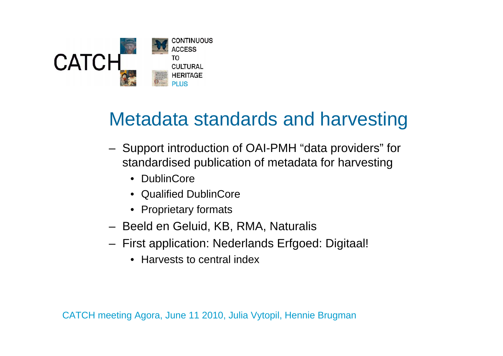

### Metadata standards and harvesting

- Support introduction of OAI-PMH "data providers" for standardised publication of metadata for harvesting
	- DublinCore
	- Qualified DublinCore
	- Proprietary formats
- Beeld en Geluid, KB, RMA, Naturalis
- First application: Nederlands Erfgoed: Digitaal!
	- Harvests to central index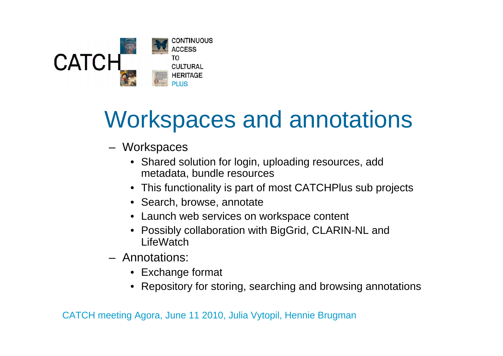

## Workspaces and annotations

- Workspaces
	- Shared solution for login, uploading resources, add metadata, bundle resources
	- This functionality is part of most CATCHPlus sub projects
	- Search, browse, annotate
	- Launch web services on workspace content
	- Possibly collaboration with BigGrid, CLARIN-NL and **LifeWatch**
- Annotations:
	- Exchange format
	- Repository for storing, searching and browsing annotations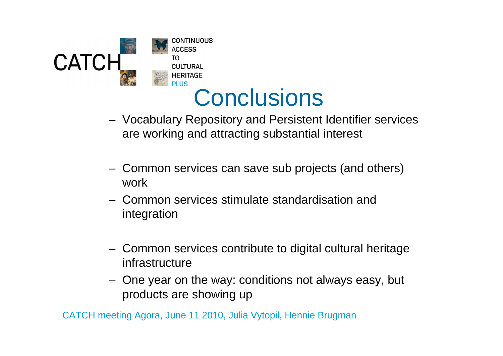



- Vocabulary Repository and Persistent Identifier services are working and attracting substantial interest
- Common services can save sub projects (and others) work
- Common services stimulate standardisation and integration
- Common services contribute to digital cultural heritage infrastructure
- One year on the way: conditions not always easy, but products are showing up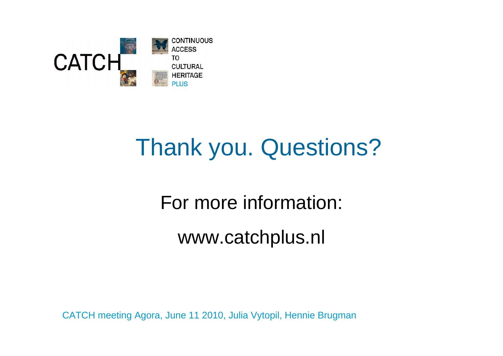

## Thank you. Questions?

For more information:

www.catchplus.nl